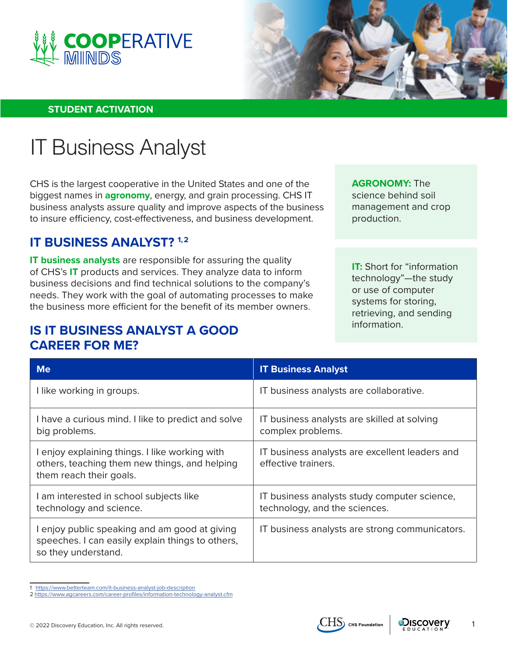



#### **STUDENT ACTIVATION**

# IT Business Analyst

CHS is the largest cooperative in the United States and one of the biggest names in **agronomy**, energy, and grain processing. CHS IT business analysts assure quality and improve aspects of the business to insure efficiency, cost-effectiveness, and business development.

## **IT BUSINESS ANALYST? 1,2**

**IT business analysts** are responsible for assuring the quality of CHS's **IT** products and services. They analyze data to inform business decisions and find technical solutions to the company's needs. They work with the goal of automating processes to make the business more efficient for the benefit of its member owners.

## **IS IT BUSINESS ANALYST A GOOD CAREER FOR ME?**

**AGRONOMY:** The science behind soil management and crop production.

**IT:** Short for "information technology"—the study or use of computer systems for storing, retrieving, and sending information.

| <b>Me</b>                                                                                                                  | <b>IT Business Analyst</b>                                                    |
|----------------------------------------------------------------------------------------------------------------------------|-------------------------------------------------------------------------------|
| I like working in groups.                                                                                                  | IT business analysts are collaborative.                                       |
| I have a curious mind. I like to predict and solve<br>big problems.                                                        | IT business analysts are skilled at solving<br>complex problems.              |
| I enjoy explaining things. I like working with<br>others, teaching them new things, and helping<br>them reach their goals. | IT business analysts are excellent leaders and<br>effective trainers.         |
| I am interested in school subjects like<br>technology and science.                                                         | IT business analysts study computer science,<br>technology, and the sciences. |
| I enjoy public speaking and am good at giving<br>speeches. I can easily explain things to others,<br>so they understand.   | IT business analysts are strong communicators.                                |

<sup>1</sup> <https://www.betterteam.com/it-business-analyst-job-description>



<sup>2</sup> <https://www.agcareers.com/career-profiles/information-technology-analyst.cfm>